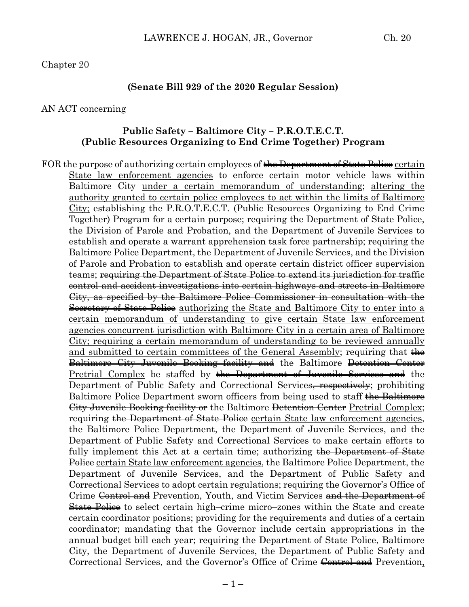### Chapter 20

#### **(Senate Bill 929 of the 2020 Regular Session)**

### AN ACT concerning

### **Public Safety – Baltimore City – P.R.O.T.E.C.T. (Public Resources Organizing to End Crime Together) Program**

FOR the purpose of authorizing certain employees of the Department of State Police certain State law enforcement agencies to enforce certain motor vehicle laws within Baltimore City under a certain memorandum of understanding; altering the authority granted to certain police employees to act within the limits of Baltimore City; establishing the P.R.O.T.E.C.T. (Public Resources Organizing to End Crime Together) Program for a certain purpose; requiring the Department of State Police, the Division of Parole and Probation, and the Department of Juvenile Services to establish and operate a warrant apprehension task force partnership; requiring the Baltimore Police Department, the Department of Juvenile Services, and the Division of Parole and Probation to establish and operate certain district officer supervision teams; requiring the Department of State Police to extend its jurisdiction for traffic control and accident investigations into certain highways and streets in Baltimore City, as specified by the Baltimore Police Commissioner in consultation with the Secretary of State Police authorizing the State and Baltimore City to enter into a certain memorandum of understanding to give certain State law enforcement agencies concurrent jurisdiction with Baltimore City in a certain area of Baltimore City; requiring a certain memorandum of understanding to be reviewed annually and submitted to certain committees of the General Assembly; requiring that the Baltimore City Juvenile Booking facility and the Baltimore Detention Center Pretrial Complex be staffed by the Department of Juvenile Services and the Department of Public Safety and Correctional Services<del>, respectively</del>; prohibiting Baltimore Police Department sworn officers from being used to staff the Baltimore City Juvenile Booking facility or the Baltimore Detention Center Pretrial Complex; requiring the Department of State Police certain State law enforcement agencies, the Baltimore Police Department, the Department of Juvenile Services, and the Department of Public Safety and Correctional Services to make certain efforts to fully implement this Act at a certain time; authorizing the Department of State <del>Police</del> certain State law enforcement agencies, the Baltimore Police Department, the Department of Juvenile Services, and the Department of Public Safety and Correctional Services to adopt certain regulations; requiring the Governor's Office of Crime Control and Prevention, Youth, and Victim Services and the Department of **State Police** to select certain high–crime micro–zones within the State and create certain coordinator positions; providing for the requirements and duties of a certain coordinator; mandating that the Governor include certain appropriations in the annual budget bill each year; requiring the Department of State Police, Baltimore City, the Department of Juvenile Services, the Department of Public Safety and Correctional Services, and the Governor's Office of Crime Control and Prevention,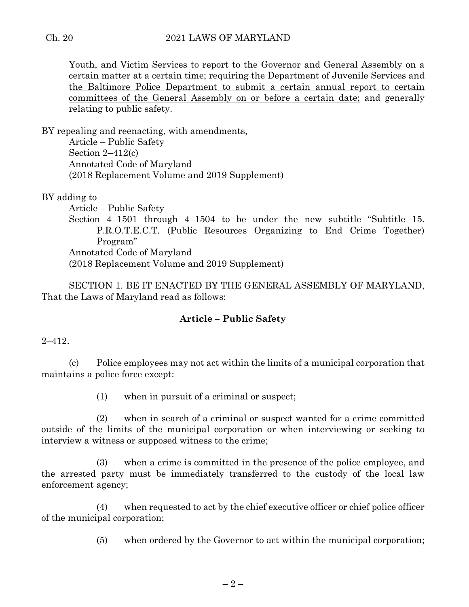Youth, and Victim Services to report to the Governor and General Assembly on a certain matter at a certain time; requiring the Department of Juvenile Services and the Baltimore Police Department to submit a certain annual report to certain committees of the General Assembly on or before a certain date; and generally relating to public safety.

BY repealing and reenacting, with amendments, Article – Public Safety Section 2–412(c) Annotated Code of Maryland (2018 Replacement Volume and 2019 Supplement)

## BY adding to

Article – Public Safety Section 4–1501 through 4–1504 to be under the new subtitle "Subtitle 15. P.R.O.T.E.C.T. (Public Resources Organizing to End Crime Together) Program" Annotated Code of Maryland (2018 Replacement Volume and 2019 Supplement)

SECTION 1. BE IT ENACTED BY THE GENERAL ASSEMBLY OF MARYLAND, That the Laws of Maryland read as follows:

## **Article – Public Safety**

## 2–412.

(c) Police employees may not act within the limits of a municipal corporation that maintains a police force except:

(1) when in pursuit of a criminal or suspect;

(2) when in search of a criminal or suspect wanted for a crime committed outside of the limits of the municipal corporation or when interviewing or seeking to interview a witness or supposed witness to the crime;

(3) when a crime is committed in the presence of the police employee, and the arrested party must be immediately transferred to the custody of the local law enforcement agency;

(4) when requested to act by the chief executive officer or chief police officer of the municipal corporation;

(5) when ordered by the Governor to act within the municipal corporation;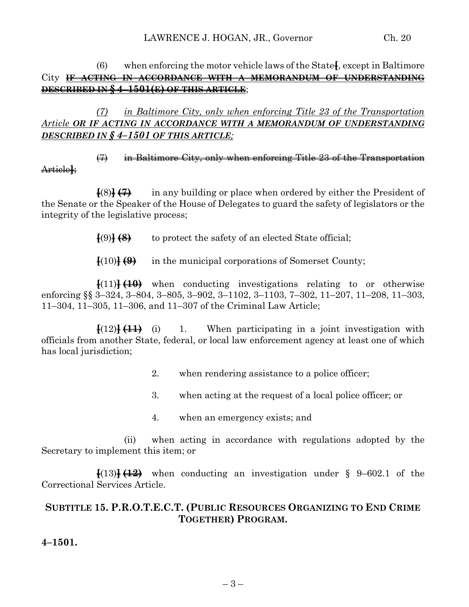(6) when enforcing the motor vehicle laws of the State**[**, except in Baltimore City **IF ACTING IN ACCORDANCE WITH A MEMORANDUM OF UNDERSTANDING DESCRIBED IN § 4–1501(E) OF THIS ARTICLE**;

*(7) in Baltimore City, only when enforcing Title 23 of the Transportation Article OR IF ACTING IN ACCORDANCE WITH A MEMORANDUM OF UNDERSTANDING DESCRIBED IN § 4–1501 OF THIS ARTICLE;*

(7) in Baltimore City, only when enforcing Title 23 of the Transportation Article**]**;

**[**(8)**] (7)** in any building or place when ordered by either the President of the Senate or the Speaker of the House of Delegates to guard the safety of legislators or the integrity of the legislative process;

**[**(9)**] (8)** to protect the safety of an elected State official;

**[**(10)**] (9)** in the municipal corporations of Somerset County;

**[**(11)**] (10)** when conducting investigations relating to or otherwise enforcing §§ 3–324, 3–804, 3–805, 3–902, 3–1102, 3–1103, 7–302, 11–207, 11–208, 11–303, 11–304, 11–305, 11–306, and 11–307 of the Criminal Law Article;

 $(12)$   $(11)$   $(11)$   $(11)$   $(11)$   $(11)$   $(11)$   $(11)$   $(11)$   $(11)$   $(11)$   $(11)$   $(11)$   $(11)$   $(11)$   $(11)$   $(11)$   $(11)$   $(11)$   $(11)$   $(11)$   $(11)$   $(11)$   $(11)$   $(11)$   $(11)$   $(11)$   $(11)$   $(11)$   $(11)$   $(11)$   $(11$ officials from another State, federal, or local law enforcement agency at least one of which has local jurisdiction;

- 2. when rendering assistance to a police officer;
- 3. when acting at the request of a local police officer; or
- 4. when an emergency exists; and

(ii) when acting in accordance with regulations adopted by the Secretary to implement this item; or

**[**(13)**] (12)** when conducting an investigation under § 9–602.1 of the Correctional Services Article.

# **SUBTITLE 15. P.R.O.T.E.C.T. (PUBLIC RESOURCES ORGANIZING TO END CRIME TOGETHER) PROGRAM.**

**4–1501.**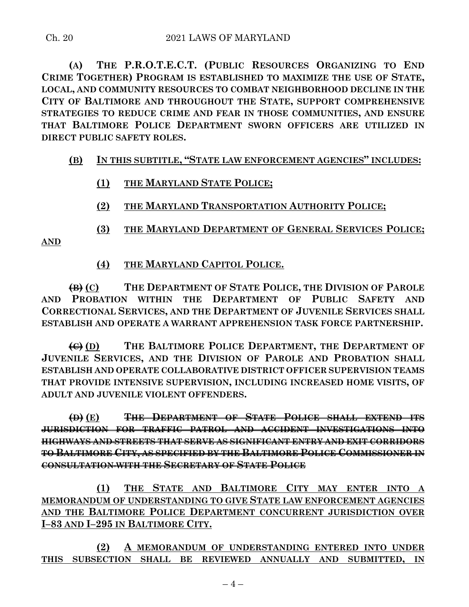**(A) THE P.R.O.T.E.C.T. (PUBLIC RESOURCES ORGANIZING TO END CRIME TOGETHER) PROGRAM IS ESTABLISHED TO MAXIMIZE THE USE OF STATE, LOCAL, AND COMMUNITY RESOURCES TO COMBAT NEIGHBORHOOD DECLINE IN THE CITY OF BALTIMORE AND THROUGHOUT THE STATE, SUPPORT COMPREHENSIVE STRATEGIES TO REDUCE CRIME AND FEAR IN THOSE COMMUNITIES, AND ENSURE THAT BALTIMORE POLICE DEPARTMENT SWORN OFFICERS ARE UTILIZED IN DIRECT PUBLIC SAFETY ROLES.**

# **(B) IN THIS SUBTITLE, "STATE LAW ENFORCEMENT AGENCIES" INCLUDES:**

- **(1) THE MARYLAND STATE POLICE;**
- **(2) THE MARYLAND TRANSPORTATION AUTHORITY POLICE;**

**(3) THE MARYLAND DEPARTMENT OF GENERAL SERVICES POLICE; AND** 

**(4) THE MARYLAND CAPITOL POLICE.**

**(B) (C) THE DEPARTMENT OF STATE POLICE, THE DIVISION OF PAROLE AND PROBATION WITHIN THE DEPARTMENT OF PUBLIC SAFETY AND CORRECTIONAL SERVICES, AND THE DEPARTMENT OF JUVENILE SERVICES SHALL ESTABLISH AND OPERATE A WARRANT APPREHENSION TASK FORCE PARTNERSHIP.**

**(C) (D) THE BALTIMORE POLICE DEPARTMENT, THE DEPARTMENT OF JUVENILE SERVICES, AND THE DIVISION OF PAROLE AND PROBATION SHALL ESTABLISH AND OPERATE COLLABORATIVE DISTRICT OFFICER SUPERVISION TEAMS THAT PROVIDE INTENSIVE SUPERVISION, INCLUDING INCREASED HOME VISITS, OF ADULT AND JUVENILE VIOLENT OFFENDERS.**

**(D) (E) THE DEPARTMENT OF STATE POLICE SHALL EXTEND ITS JURISDICTION FOR TRAFFIC PATROL AND ACCIDENT INVESTIGATIONS INTO HIGHWAYS AND STREETS THAT SERVE AS SIGNIFICANT ENTRY AND EXIT CORRIDORS TO BALTIMORE CITY, AS SPECIFIED BY THE BALTIMORE POLICE COMMISSIONER IN CONSULTATION WITH THE SECRETARY OF STATE POLICE**

**(1) THE STATE AND BALTIMORE CITY MAY ENTER INTO A MEMORANDUM OF UNDERSTANDING TO GIVE STATE LAW ENFORCEMENT AGENCIES AND THE BALTIMORE POLICE DEPARTMENT CONCURRENT JURISDICTION OVER I–83 AND I–295 IN BALTIMORE CITY.**

**(2) A MEMORANDUM OF UNDERSTANDING ENTERED INTO UNDER THIS SUBSECTION SHALL BE REVIEWED ANNUALLY AND SUBMITTED, IN**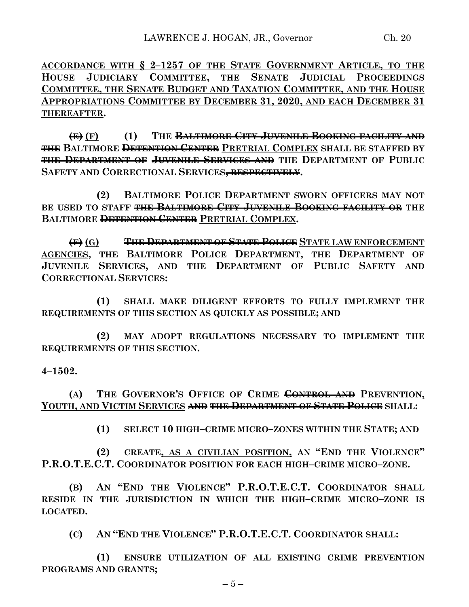**ACCORDANCE WITH § 2–1257 OF THE STATE GOVERNMENT ARTICLE, TO THE HOUSE JUDICIARY COMMITTEE, THE SENATE JUDICIAL PROCEEDINGS COMMITTEE, THE SENATE BUDGET AND TAXATION COMMITTEE, AND THE HOUSE APPROPRIATIONS COMMITTEE BY DECEMBER 31, 2020, AND EACH DECEMBER 31 THEREAFTER.**

**(E) (F) (1) THE BALTIMORE CITY JUVENILE BOOKING FACILITY AND THE BALTIMORE DETENTION CENTER PRETRIAL COMPLEX SHALL BE STAFFED BY THE DEPARTMENT OF JUVENILE SERVICES AND THE DEPARTMENT OF PUBLIC SAFETY AND CORRECTIONAL SERVICES, RESPECTIVELY.**

**(2) BALTIMORE POLICE DEPARTMENT SWORN OFFICERS MAY NOT BE USED TO STAFF THE BALTIMORE CITY JUVENILE BOOKING FACILITY OR THE BALTIMORE DETENTION CENTER PRETRIAL COMPLEX.**

**(F) (G) THE DEPARTMENT OF STATE POLICE STATE LAW ENFORCEMENT AGENCIES, THE BALTIMORE POLICE DEPARTMENT, THE DEPARTMENT OF JUVENILE SERVICES, AND THE DEPARTMENT OF PUBLIC SAFETY AND CORRECTIONAL SERVICES:**

**(1) SHALL MAKE DILIGENT EFFORTS TO FULLY IMPLEMENT THE REQUIREMENTS OF THIS SECTION AS QUICKLY AS POSSIBLE; AND**

**(2) MAY ADOPT REGULATIONS NECESSARY TO IMPLEMENT THE REQUIREMENTS OF THIS SECTION.**

### **4–1502.**

**(A) THE GOVERNOR'S OFFICE OF CRIME CONTROL AND PREVENTION, YOUTH, AND VICTIM SERVICES AND THE DEPARTMENT OF STATE POLICE SHALL:**

**(1) SELECT 10 HIGH–CRIME MICRO–ZONES WITHIN THE STATE; AND**

**(2) CREATE, AS A CIVILIAN POSITION, AN "END THE VIOLENCE" P.R.O.T.E.C.T. COORDINATOR POSITION FOR EACH HIGH–CRIME MICRO–ZONE.**

**(B) AN "END THE VIOLENCE" P.R.O.T.E.C.T. COORDINATOR SHALL RESIDE IN THE JURISDICTION IN WHICH THE HIGH–CRIME MICRO–ZONE IS LOCATED.**

**(C) AN "END THE VIOLENCE" P.R.O.T.E.C.T. COORDINATOR SHALL:**

**(1) ENSURE UTILIZATION OF ALL EXISTING CRIME PREVENTION PROGRAMS AND GRANTS;**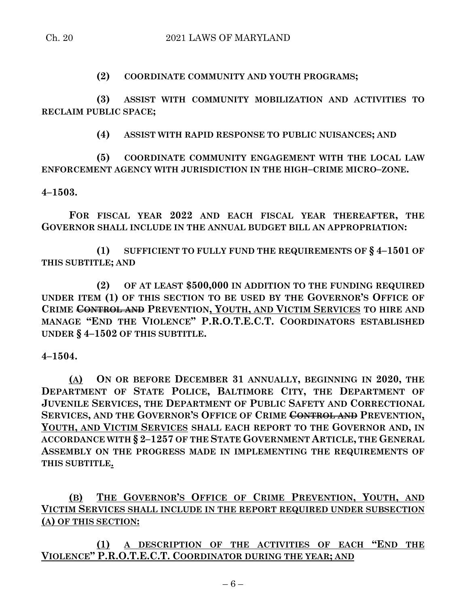**(2) COORDINATE COMMUNITY AND YOUTH PROGRAMS;**

**(3) ASSIST WITH COMMUNITY MOBILIZATION AND ACTIVITIES TO RECLAIM PUBLIC SPACE;**

**(4) ASSIST WITH RAPID RESPONSE TO PUBLIC NUISANCES; AND**

**(5) COORDINATE COMMUNITY ENGAGEMENT WITH THE LOCAL LAW ENFORCEMENT AGENCY WITH JURISDICTION IN THE HIGH–CRIME MICRO–ZONE.**

**4–1503.**

**FOR FISCAL YEAR 2022 AND EACH FISCAL YEAR THEREAFTER, THE GOVERNOR SHALL INCLUDE IN THE ANNUAL BUDGET BILL AN APPROPRIATION:**

**(1) SUFFICIENT TO FULLY FUND THE REQUIREMENTS OF § 4–1501 OF THIS SUBTITLE; AND**

**(2) OF AT LEAST \$500,000 IN ADDITION TO THE FUNDING REQUIRED UNDER ITEM (1) OF THIS SECTION TO BE USED BY THE GOVERNOR'S OFFICE OF CRIME CONTROL AND PREVENTION, YOUTH, AND VICTIM SERVICES TO HIRE AND MANAGE "END THE VIOLENCE" P.R.O.T.E.C.T. COORDINATORS ESTABLISHED UNDER § 4–1502 OF THIS SUBTITLE.**

**4–1504.**

**(A) ON OR BEFORE DECEMBER 31 ANNUALLY, BEGINNING IN 2020, THE DEPARTMENT OF STATE POLICE, BALTIMORE CITY, THE DEPARTMENT OF JUVENILE SERVICES, THE DEPARTMENT OF PUBLIC SAFETY AND CORRECTIONAL SERVICES, AND THE GOVERNOR'S OFFICE OF CRIME CONTROL AND PREVENTION, YOUTH, AND VICTIM SERVICES SHALL EACH REPORT TO THE GOVERNOR AND, IN ACCORDANCE WITH § 2–1257 OF THE STATE GOVERNMENT ARTICLE, THE GENERAL ASSEMBLY ON THE PROGRESS MADE IN IMPLEMENTING THE REQUIREMENTS OF THIS SUBTITLE.**

**(B) THE GOVERNOR'S OFFICE OF CRIME PREVENTION, YOUTH, AND VICTIM SERVICES SHALL INCLUDE IN THE REPORT REQUIRED UNDER SUBSECTION (A) OF THIS SECTION:**

**(1) A DESCRIPTION OF THE ACTIVITIES OF EACH "END THE VIOLENCE" P.R.O.T.E.C.T. COORDINATOR DURING THE YEAR; AND**